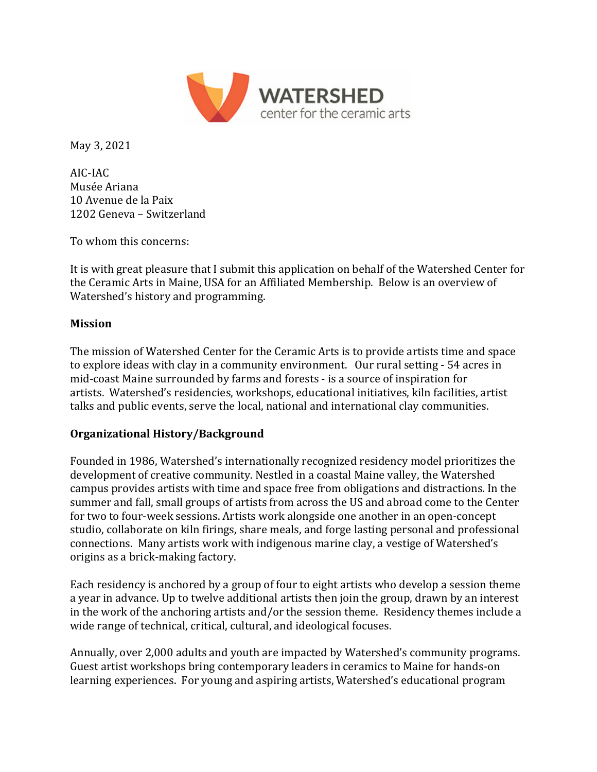

May 3, 2021

AIC-IAC Musée Ariana 10 Avenue de la Paix 1202 Geneva – Switzerland

To whom this concerns:

It is with great pleasure that I submit this application on behalf of the Watershed Center for the Ceramic Arts in Maine, USA for an Affiliated Membership. Below is an overview of Watershed's history and programming.

## **Mission**

The mission of Watershed Center for the Ceramic Arts is to provide artists time and space to explore ideas with clay in a community environment. Our rural setting - 54 acres in mid-coast Maine surrounded by farms and forests - is a source of inspiration for artists. Watershed's residencies, workshops, educational initiatives, kiln facilities, artist talks and public events, serve the local, national and international clay communities.

## **Organizational History/Background**

Founded in 1986, Watershed's internationally recognized residency model prioritizes the development of creative community. Nestled in a coastal Maine valley, the Watershed campus provides artists with time and space free from obligations and distractions. In the summer and fall, small groups of artists from across the US and abroad come to the Center for two to four-week sessions. Artists work alongside one another in an open-concept studio, collaborate on kiln firings, share meals, and forge lasting personal and professional connections. Many artists work with indigenous marine clay, a vestige of Watershed's origins as a brick-making factory.

Each residency is anchored by a group of four to eight artists who develop a session theme a year in advance. Up to twelve additional artists then join the group, drawn by an interest in the work of the anchoring artists and/or the session theme. Residency themes include a wide range of technical, critical, cultural, and ideological focuses.

Annually, over 2,000 adults and youth are impacted by Watershed's community programs. Guest artist workshops bring contemporary leaders in ceramics to Maine for hands-on learning experiences. For young and aspiring artists, Watershed's educational program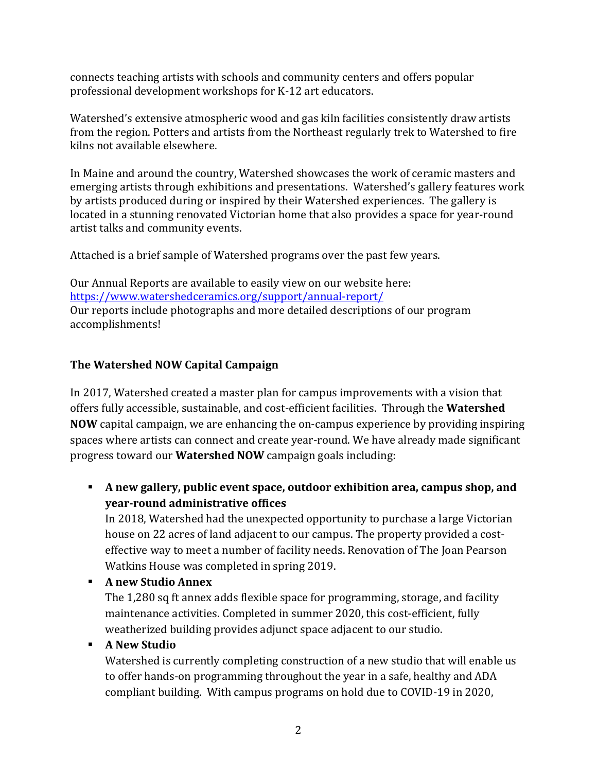connects teaching artists with schools and community centers and offers popular professional development workshops for K-12 art educators.

Watershed's extensive atmospheric wood and gas kiln facilities consistently draw artists from the region. Potters and artists from the Northeast regularly trek to Watershed to fire kilns not available elsewhere.

In Maine and around the country, Watershed showcases the work of ceramic masters and emerging artists through exhibitions and presentations. Watershed's gallery features work by artists produced during or inspired by their Watershed experiences. The gallery is located in a stunning renovated Victorian home that also provides a space for year-round artist talks and community events.

Attached is a brief sample of Watershed programs over the past few years.

Our Annual Reports are available to easily view on our website here: https://www.watershedceramics.org/support/annual-report/ Our reports include photographs and more detailed descriptions of our program accomplishments!

## **The Watershed NOW Capital Campaign**

In 2017, Watershed created a master plan for campus improvements with a vision that offers fully accessible, sustainable, and cost-efficient facilities. Through the **Watershed NOW** capital campaign, we are enhancing the on-campus experience by providing inspiring spaces where artists can connect and create year-round. We have already made significant progress toward our **Watershed NOW** campaign goals including:

**A** new gallery, public event space, outdoor exhibition area, campus shop, and **year-round administrative offices**

In 2018, Watershed had the unexpected opportunity to purchase a large Victorian house on 22 acres of land adjacent to our campus. The property provided a costeffective way to meet a number of facility needs. Renovation of The Joan Pearson Watkins House was completed in spring 2019.

! **A new Studio Annex**

The 1,280 sq ft annex adds flexible space for programming, storage, and facility maintenance activities. Completed in summer 2020, this cost-efficient, fully weatherized building provides adjunct space adjacent to our studio.

## ! **A New Studio**

Watershed is currently completing construction of a new studio that will enable us to offer hands-on programming throughout the year in a safe, healthy and ADA compliant building. With campus programs on hold due to COVID-19 in 2020,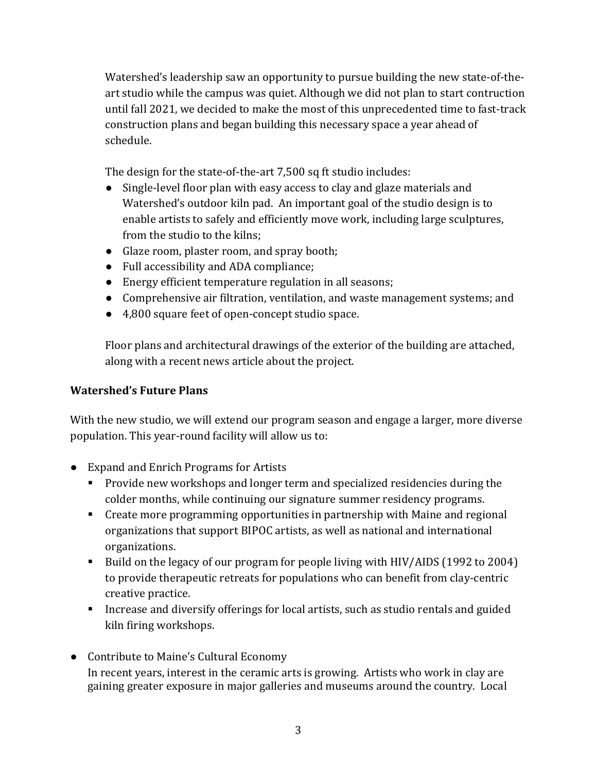Watershed's leadership saw an opportunity to pursue building the new state-of-theart studio while the campus was quiet. Although we did not plan to start contruction until fall 2021, we decided to make the most of this unprecedented time to fast-track construction plans and began building this necessary space a year ahead of schedule. 

The design for the state-of-the-art 7,500 sq ft studio includes:

- Single-level floor plan with easy access to clay and glaze materials and Watershed's outdoor kiln pad. An important goal of the studio design is to enable artists to safely and efficiently move work, including large sculptures, from the studio to the kilns;
- Glaze room, plaster room, and spray booth;
- Full accessibility and ADA compliance;
- Energy efficient temperature regulation in all seasons;
- Comprehensive air filtration, ventilation, and waste management systems; and
- 4,800 square feet of open-concept studio space.

Floor plans and architectural drawings of the exterior of the building are attached, along with a recent news article about the project.

# **Watershed's Future Plans**

With the new studio, we will extend our program season and engage a larger, more diverse population. This year-round facility will allow us to:

- Expand and Enrich Programs for Artists
	- **•** Provide new workshops and longer term and specialized residencies during the colder months, while continuing our signature summer residency programs.
	- Create more programming opportunities in partnership with Maine and regional organizations that support BIPOC artists, as well as national and international organizations.
	- Build on the legacy of our program for people living with HIV/AIDS (1992 to 2004) to provide therapeutic retreats for populations who can benefit from clay-centric creative practice.
	- **.** Increase and diversify offerings for local artists, such as studio rentals and guided kiln firing workshops.
- Contribute to Maine's Cultural Economy In recent years, interest in the ceramic arts is growing. Artists who work in clay are gaining greater exposure in major galleries and museums around the country. Local